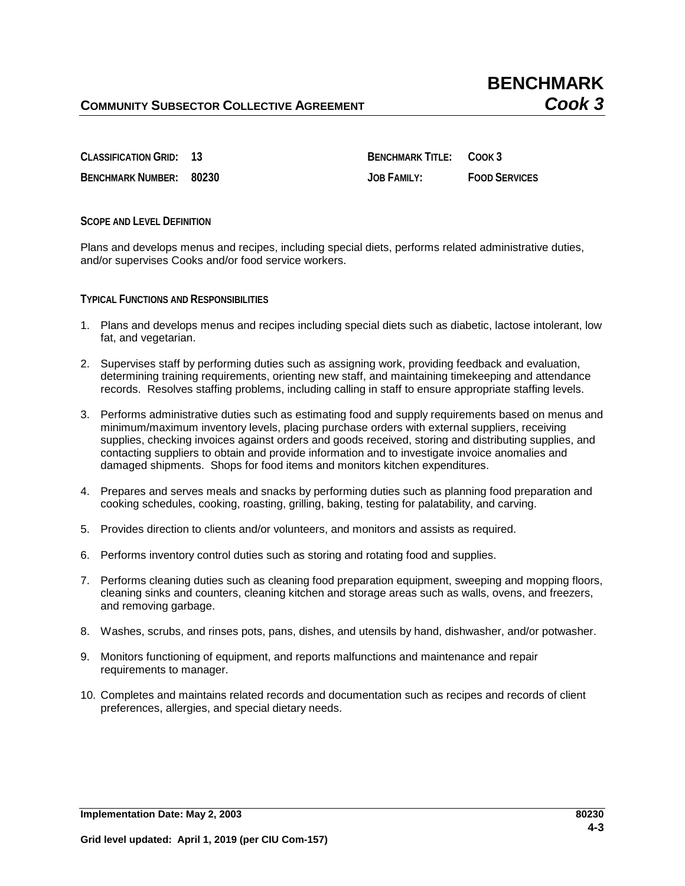**BENCHMARK NUMBER: 80230 JOB FAMILY: FOOD SERVICES**

**CLASSIFICATION GRID: 13 BENCHMARK TITLE: COOK 3**

**SCOPE AND LEVEL DEFINITION**

Plans and develops menus and recipes, including special diets, performs related administrative duties, and/or supervises Cooks and/or food service workers.

**TYPICAL FUNCTIONS AND RESPONSIBILITIES**

- 1. Plans and develops menus and recipes including special diets such as diabetic, lactose intolerant, low fat, and vegetarian.
- 2. Supervises staff by performing duties such as assigning work, providing feedback and evaluation, determining training requirements, orienting new staff, and maintaining timekeeping and attendance records. Resolves staffing problems, including calling in staff to ensure appropriate staffing levels.
- 3. Performs administrative duties such as estimating food and supply requirements based on menus and minimum/maximum inventory levels, placing purchase orders with external suppliers, receiving supplies, checking invoices against orders and goods received, storing and distributing supplies, and contacting suppliers to obtain and provide information and to investigate invoice anomalies and damaged shipments. Shops for food items and monitors kitchen expenditures.
- 4. Prepares and serves meals and snacks by performing duties such as planning food preparation and cooking schedules, cooking, roasting, grilling, baking, testing for palatability, and carving.
- 5. Provides direction to clients and/or volunteers, and monitors and assists as required.
- 6. Performs inventory control duties such as storing and rotating food and supplies.
- 7. Performs cleaning duties such as cleaning food preparation equipment, sweeping and mopping floors, cleaning sinks and counters, cleaning kitchen and storage areas such as walls, ovens, and freezers, and removing garbage.
- 8. Washes, scrubs, and rinses pots, pans, dishes, and utensils by hand, dishwasher, and/or potwasher.
- 9. Monitors functioning of equipment, and reports malfunctions and maintenance and repair requirements to manager.
- 10. Completes and maintains related records and documentation such as recipes and records of client preferences, allergies, and special dietary needs.